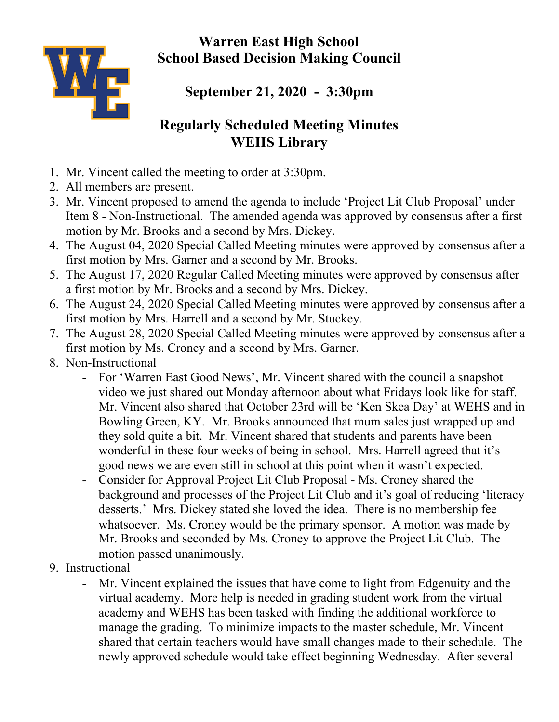**Warren East High School School Based Decision Making Council**



**September 21, 2020 - 3:30pm**

## **Regularly Scheduled Meeting Minutes WEHS Library**

- 1. Mr. Vincent called the meeting to order at 3:30pm.
- 2. All members are present.
- 3. Mr. Vincent proposed to amend the agenda to include 'Project Lit Club Proposal' under Item 8 - Non-Instructional. The amended agenda was approved by consensus after a first motion by Mr. Brooks and a second by Mrs. Dickey.
- 4. The August 04, 2020 Special Called Meeting minutes were approved by consensus after a first motion by Mrs. Garner and a second by Mr. Brooks.
- 5. The August 17, 2020 Regular Called Meeting minutes were approved by consensus after a first motion by Mr. Brooks and a second by Mrs. Dickey.
- 6. The August 24, 2020 Special Called Meeting minutes were approved by consensus after a first motion by Mrs. Harrell and a second by Mr. Stuckey.
- 7. The August 28, 2020 Special Called Meeting minutes were approved by consensus after a first motion by Ms. Croney and a second by Mrs. Garner.
- 8. Non-Instructional
	- For 'Warren East Good News', Mr. Vincent shared with the council a snapshot video we just shared out Monday afternoon about what Fridays look like for staff. Mr. Vincent also shared that October 23rd will be 'Ken Skea Day' at WEHS and in Bowling Green, KY. Mr. Brooks announced that mum sales just wrapped up and they sold quite a bit. Mr. Vincent shared that students and parents have been wonderful in these four weeks of being in school. Mrs. Harrell agreed that it's good news we are even still in school at this point when it wasn't expected.
	- Consider for Approval Project Lit Club Proposal Ms. Croney shared the background and processes of the Project Lit Club and it's goal of reducing 'literacy desserts.' Mrs. Dickey stated she loved the idea. There is no membership fee whatsoever. Ms. Croney would be the primary sponsor. A motion was made by Mr. Brooks and seconded by Ms. Croney to approve the Project Lit Club. The motion passed unanimously.
- 9. Instructional
	- Mr. Vincent explained the issues that have come to light from Edgenuity and the virtual academy. More help is needed in grading student work from the virtual academy and WEHS has been tasked with finding the additional workforce to manage the grading. To minimize impacts to the master schedule, Mr. Vincent shared that certain teachers would have small changes made to their schedule. The newly approved schedule would take effect beginning Wednesday. After several